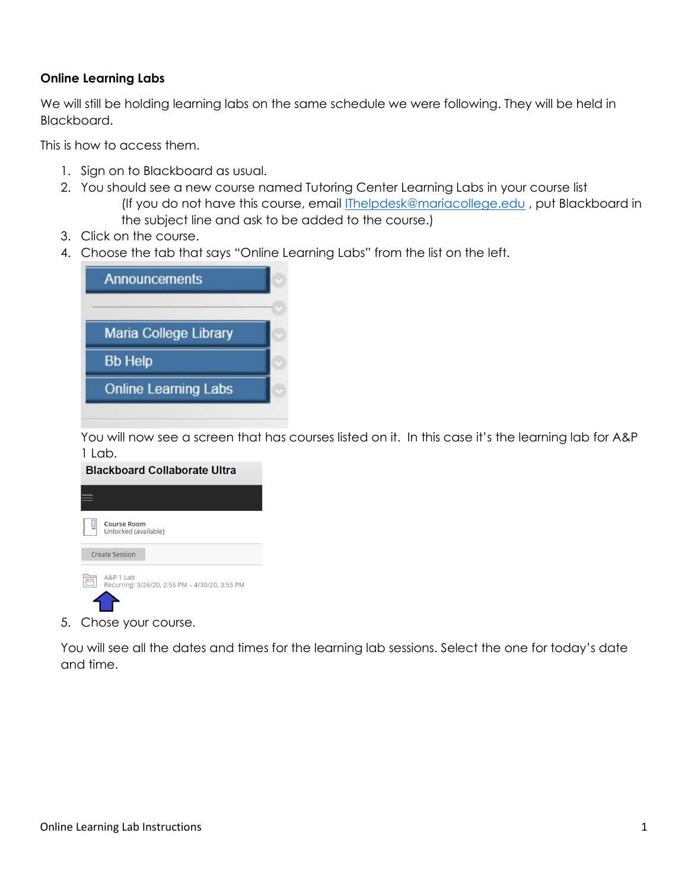## Online Learning Labs

We will still be holding learning labs on the same schedule we were following. They will be held in Blackboard.

This is how to access them.

- 1. Sign on to Blackboard as usual.
- 2. You should see a new course named Tutoring Center Learning Labs in your course list (If you do not have this course, email **IThelpdesk@mariacollege.edu**, put Blackboard in the subject line and ask to be added to the course.)
- 3. Click on the course.
- 4. Choose the tab that says "Online Learning Labs" from the list on the left.



You will now see a screen that has courses listed on it. In this case it's the learning lab for A&P  $1$  lab.



5. Chose your course.

You will see all the dates and times for the learning lab sessions. Select the one for today's date and time.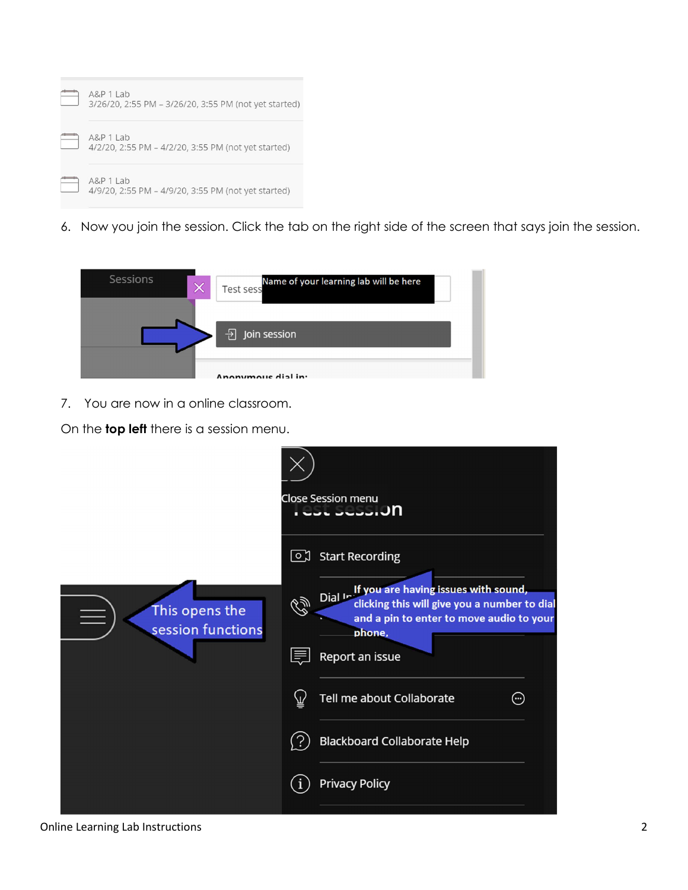

6. Now you join the session. Click the tab on the right side of the screen that says join the session.



7. You are now in a online classroom.

On the **top left** there is a session menu.



Online Learning Lab Instructions 2